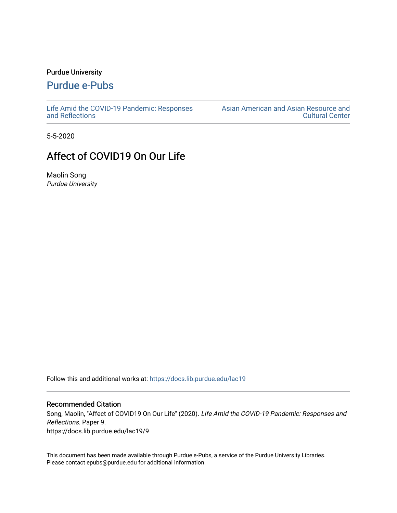## Purdue University

## [Purdue e-Pubs](https://docs.lib.purdue.edu/)

[Life Amid the COVID-19 Pandemic: Responses](https://docs.lib.purdue.edu/lac19)  [and Reflections](https://docs.lib.purdue.edu/lac19) 

[Asian American and Asian Resource and](https://docs.lib.purdue.edu/aaarcc)  [Cultural Center](https://docs.lib.purdue.edu/aaarcc) 

5-5-2020

## Affect of COVID19 On Our Life

Maolin Song Purdue University

Follow this and additional works at: [https://docs.lib.purdue.edu/lac19](https://docs.lib.purdue.edu/lac19?utm_source=docs.lib.purdue.edu%2Flac19%2F9&utm_medium=PDF&utm_campaign=PDFCoverPages)

## Recommended Citation

Song, Maolin, "Affect of COVID19 On Our Life" (2020). Life Amid the COVID-19 Pandemic: Responses and Reflections. Paper 9. https://docs.lib.purdue.edu/lac19/9

This document has been made available through Purdue e-Pubs, a service of the Purdue University Libraries. Please contact epubs@purdue.edu for additional information.